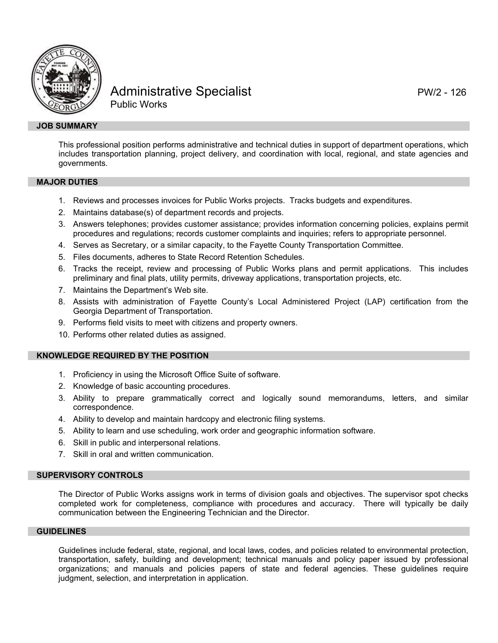

# Administrative Specialist **PW/2 - 126** Public Works

## **JOB SUMMARY**

This professional position performs administrative and technical duties in support of department operations, which includes transportation planning, project delivery, and coordination with local, regional, and state agencies and governments.

### **MAJOR DUTIES**

- 1. Reviews and processes invoices for Public Works projects. Tracks budgets and expenditures.
- 2. Maintains database(s) of department records and projects.
- 3. Answers telephones; provides customer assistance; provides information concerning policies, explains permit procedures and regulations; records customer complaints and inquiries; refers to appropriate personnel.
- 4. Serves as Secretary, or a similar capacity, to the Fayette County Transportation Committee.
- 5. Files documents, adheres to State Record Retention Schedules.
- 6. Tracks the receipt, review and processing of Public Works plans and permit applications. This includes preliminary and final plats, utility permits, driveway applications, transportation projects, etc.
- 7. Maintains the Department's Web site.
- 8. Assists with administration of Fayette County's Local Administered Project (LAP) certification from the Georgia Department of Transportation.
- 9. Performs field visits to meet with citizens and property owners.
- 10. Performs other related duties as assigned.

## **KNOWLEDGE REQUIRED BY THE POSITION**

- 1. Proficiency in using the Microsoft Office Suite of software.
- 2. Knowledge of basic accounting procedures.
- 3. Ability to prepare grammatically correct and logically sound memorandums, letters, and similar correspondence.
- 4. Ability to develop and maintain hardcopy and electronic filing systems.
- 5. Ability to learn and use scheduling, work order and geographic information software.
- 6. Skill in public and interpersonal relations.
- 7. Skill in oral and written communication.

## **SUPERVISORY CONTROLS**

The Director of Public Works assigns work in terms of division goals and objectives. The supervisor spot checks completed work for completeness, compliance with procedures and accuracy. There will typically be daily communication between the Engineering Technician and the Director.

## **GUIDELINES**

Guidelines include federal, state, regional, and local laws, codes, and policies related to environmental protection, transportation, safety, building and development; technical manuals and policy paper issued by professional organizations; and manuals and policies papers of state and federal agencies. These guidelines require judgment, selection, and interpretation in application.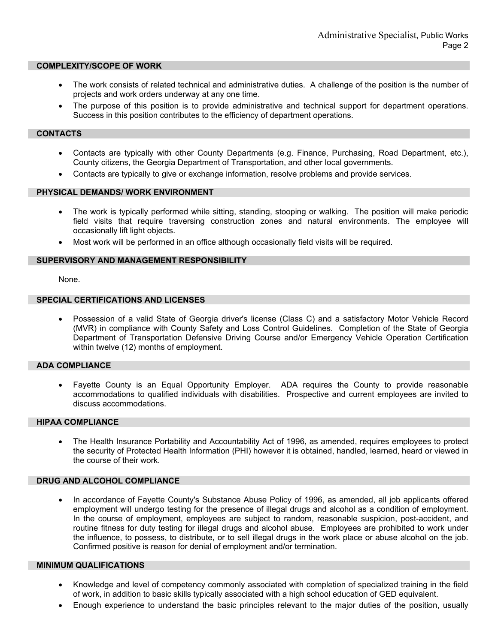### **COMPLEXITY/SCOPE OF WORK**

- The work consists of related technical and administrative duties. A challenge of the position is the number of projects and work orders underway at any one time.
- The purpose of this position is to provide administrative and technical support for department operations. Success in this position contributes to the efficiency of department operations.

## **CONTACTS**

- Contacts are typically with other County Departments (e.g. Finance, Purchasing, Road Department, etc.), County citizens, the Georgia Department of Transportation, and other local governments.
- Contacts are typically to give or exchange information, resolve problems and provide services.

### **PHYSICAL DEMANDS/ WORK ENVIRONMENT**

- The work is typically performed while sitting, standing, stooping or walking. The position will make periodic field visits that require traversing construction zones and natural environments. The employee will occasionally lift light objects.
- Most work will be performed in an office although occasionally field visits will be required.

#### **SUPERVISORY AND MANAGEMENT RESPONSIBILITY**

None.

## **SPECIAL CERTIFICATIONS AND LICENSES**

• Possession of a valid State of Georgia driver's license (Class C) and a satisfactory Motor Vehicle Record (MVR) in compliance with County Safety and Loss Control Guidelines. Completion of the State of Georgia Department of Transportation Defensive Driving Course and/or Emergency Vehicle Operation Certification within twelve (12) months of employment.

## **ADA COMPLIANCE**

• Fayette County is an Equal Opportunity Employer. ADA requires the County to provide reasonable accommodations to qualified individuals with disabilities. Prospective and current employees are invited to discuss accommodations.

## **HIPAA COMPLIANCE**

• The Health Insurance Portability and Accountability Act of 1996, as amended, requires employees to protect the security of Protected Health Information (PHI) however it is obtained, handled, learned, heard or viewed in the course of their work.

### **DRUG AND ALCOHOL COMPLIANCE**

• In accordance of Fayette County's Substance Abuse Policy of 1996, as amended, all job applicants offered employment will undergo testing for the presence of illegal drugs and alcohol as a condition of employment. In the course of employment, employees are subject to random, reasonable suspicion, post-accident, and routine fitness for duty testing for illegal drugs and alcohol abuse. Employees are prohibited to work under the influence, to possess, to distribute, or to sell illegal drugs in the work place or abuse alcohol on the job. Confirmed positive is reason for denial of employment and/or termination.

### **MINIMUM QUALIFICATIONS**

- Knowledge and level of competency commonly associated with completion of specialized training in the field of work, in addition to basic skills typically associated with a high school education of GED equivalent.
- Enough experience to understand the basic principles relevant to the major duties of the position, usually